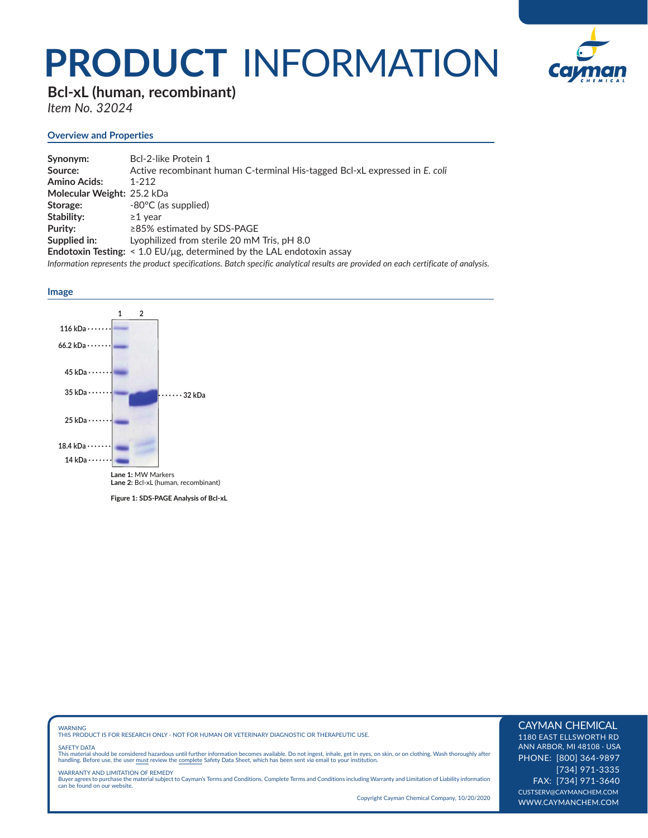## **PRODUCT** INFORMATION



### **Bcl-xL (human, recombinant)**

*Item No. 32024*

#### **Overview and Properties**

| Synonym:                   | Bcl-2-like Protein 1                                                                                                               |
|----------------------------|------------------------------------------------------------------------------------------------------------------------------------|
| Source:                    | Active recombinant human C-terminal His-tagged Bcl-xL expressed in E. coli                                                         |
| <b>Amino Acids:</b>        | $1 - 212$                                                                                                                          |
| Molecular Weight: 25.2 kDa |                                                                                                                                    |
| Storage:                   | -80°C (as supplied)                                                                                                                |
| Stability:                 | $\geq$ 1 vear                                                                                                                      |
| Purity:                    | $\geq$ 85% estimated by SDS-PAGE                                                                                                   |
| Supplied in:               | Lyophilized from sterile 20 mM Tris, pH 8.0                                                                                        |
|                            | <b>Endotoxin Testing:</b> $\leq$ 1.0 EU/µg, determined by the LAL endotoxin assay                                                  |
|                            | Information represents the product specifications. Batch specific analytical results are provided on each certificate of analysis. |

#### **Image**



**Figure 1: SDS-PAGE Analysis of Bcl-xL**

WARNING THIS PRODUCT IS FOR RESEARCH ONLY - NOT FOR HUMAN OR VETERINARY DIAGNOSTIC OR THERAPEUTIC USE.

#### SAFETY DATA

This material should be considered hazardous until further information becomes available. Do not ingest, inhale, get in eyes, on skin, or on clothing. Wash thoroughly after<br>handling. Before use, the user must review the co

WARRANTY AND LIMITATION OF REMEDY Buyer agrees to purchase the material subject to Cayman's Terms and Conditions. Complete Terms and Conditions including Warranty and Limitation of Liability information can be found on our website.

Copyright Cayman Chemical Company, 10/20/2020

### CAYMAN CHEMICAL

1180 EAST ELLSWORTH RD ANN ARBOR, MI 48108 · USA PHONE: [800] 364-9897 [734] 971-3335 FAX: [734] 971-3640 CUSTSERV@CAYMANCHEM.COM WWW.CAYMANCHEM.COM